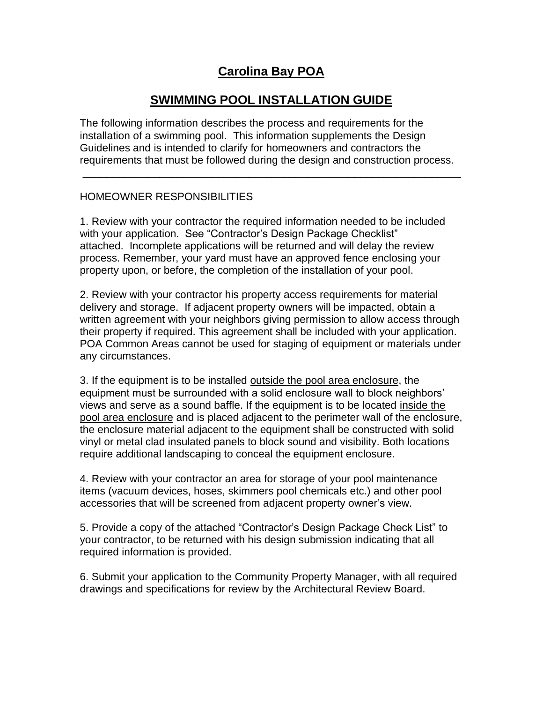## **Carolina Bay POA**

## **SWIMMING POOL INSTALLATION GUIDE**

The following information describes the process and requirements for the installation of a swimming pool. This information supplements the Design Guidelines and is intended to clarify for homeowners and contractors the requirements that must be followed during the design and construction process.

\_\_\_\_\_\_\_\_\_\_\_\_\_\_\_\_\_\_\_\_\_\_\_\_\_\_\_\_\_\_\_\_\_\_\_\_\_\_\_\_\_\_\_\_\_\_\_\_\_\_\_\_\_\_\_\_\_\_\_\_\_\_\_\_

#### HOMEOWNER RESPONSIBILITIES

1. Review with your contractor the required information needed to be included with your application. See "Contractor's Design Package Checklist" attached. Incomplete applications will be returned and will delay the review process. Remember, your yard must have an approved fence enclosing your property upon, or before, the completion of the installation of your pool.

2. Review with your contractor his property access requirements for material delivery and storage. If adjacent property owners will be impacted, obtain a written agreement with your neighbors giving permission to allow access through their property if required. This agreement shall be included with your application. POA Common Areas cannot be used for staging of equipment or materials under any circumstances.

3. If the equipment is to be installed outside the pool area enclosure, the equipment must be surrounded with a solid enclosure wall to block neighbors' views and serve as a sound baffle. If the equipment is to be located inside the pool area enclosure and is placed adjacent to the perimeter wall of the enclosure, the enclosure material adjacent to the equipment shall be constructed with solid vinyl or metal clad insulated panels to block sound and visibility. Both locations require additional landscaping to conceal the equipment enclosure.

4. Review with your contractor an area for storage of your pool maintenance items (vacuum devices, hoses, skimmers pool chemicals etc.) and other pool accessories that will be screened from adjacent property owner's view.

5. Provide a copy of the attached "Contractor's Design Package Check List" to your contractor, to be returned with his design submission indicating that all required information is provided.

6. Submit your application to the Community Property Manager, with all required drawings and specifications for review by the Architectural Review Board.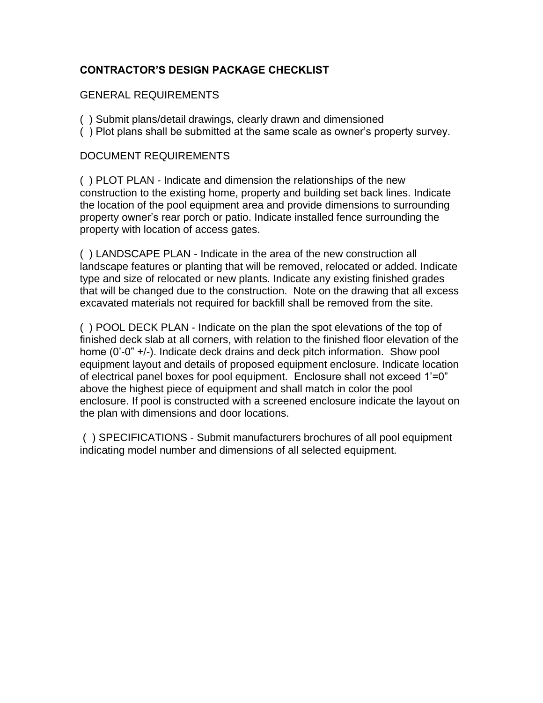### **CONTRACTOR'S DESIGN PACKAGE CHECKLIST**

#### GENERAL REQUIREMENTS

- ( ) Submit plans/detail drawings, clearly drawn and dimensioned
- ( ) Plot plans shall be submitted at the same scale as owner's property survey.

#### DOCUMENT REQUIREMENTS

( ) PLOT PLAN - Indicate and dimension the relationships of the new construction to the existing home, property and building set back lines. Indicate the location of the pool equipment area and provide dimensions to surrounding property owner's rear porch or patio. Indicate installed fence surrounding the property with location of access gates.

( ) LANDSCAPE PLAN - Indicate in the area of the new construction all landscape features or planting that will be removed, relocated or added. Indicate type and size of relocated or new plants. Indicate any existing finished grades that will be changed due to the construction. Note on the drawing that all excess excavated materials not required for backfill shall be removed from the site.

( ) POOL DECK PLAN - Indicate on the plan the spot elevations of the top of finished deck slab at all corners, with relation to the finished floor elevation of the home (0'-0" +/-). Indicate deck drains and deck pitch information. Show pool equipment layout and details of proposed equipment enclosure. Indicate location of electrical panel boxes for pool equipment. Enclosure shall not exceed 1'=0" above the highest piece of equipment and shall match in color the pool enclosure. If pool is constructed with a screened enclosure indicate the layout on the plan with dimensions and door locations.

( ) SPECIFICATIONS - Submit manufacturers brochures of all pool equipment indicating model number and dimensions of all selected equipment.